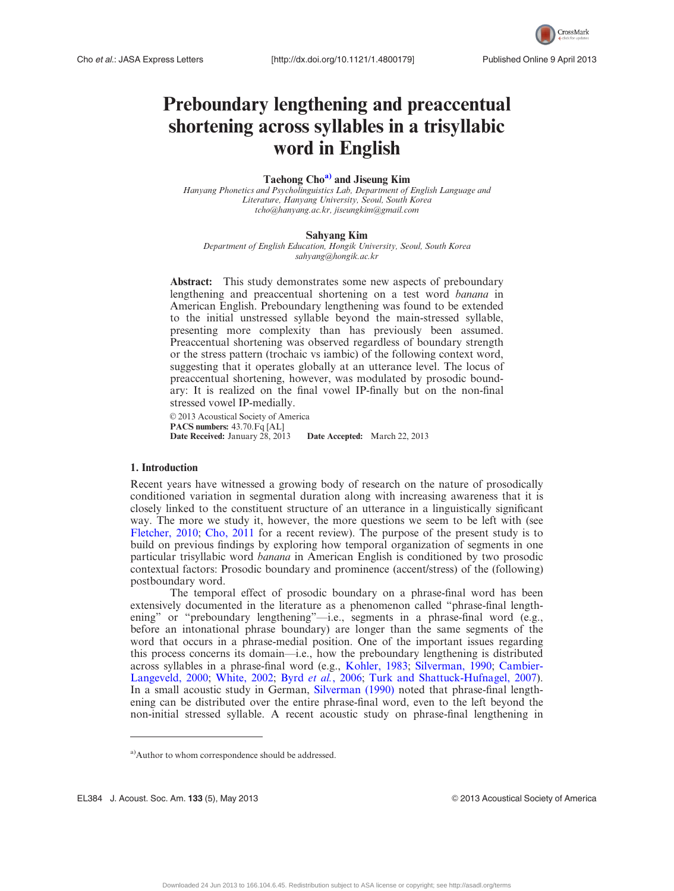

# Preboundary lengthening and preaccentual shortening across syllables in a trisyllabic word in English

# Taehong Cho<sup>a)</sup> and Jiseung Kim

Hanyang Phonetics and Psycholinguistics Lab, Department of English Language and Literature, Hanyang University, Seoul, South Korea tcho@hanyang.ac.kr, jiseungkim@gmail.com

## Sahyang Kim

Department of English Education, Hongik University, Seoul, South Korea sahyang@hongik.ac.kr

Abstract: This study demonstrates some new aspects of preboundary lengthening and preaccentual shortening on a test word banana in American English. Preboundary lengthening was found to be extended to the initial unstressed syllable beyond the main-stressed syllable, presenting more complexity than has previously been assumed. Preaccentual shortening was observed regardless of boundary strength or the stress pattern (trochaic vs iambic) of the following context word, suggesting that it operates globally at an utterance level. The locus of preaccentual shortening, however, was modulated by prosodic boundary: It is realized on the final vowel IP-finally but on the non-final stressed vowel IP-medially.

© 2013 Acoustical Society of America PACS numbers: 43.70.Fq [AL] Date Received: January 28, 2013 Date Accepted: March 22, 2013

# 1. Introduction

Recent years have witnessed a growing body of research on the nature of prosodically conditioned variation in segmental duration along with increasing awareness that it is closely linked to the constituent structure of an utterance in a linguistically significant way. The more we study it, however, the more questions we seem to be left with (see [Fletcher, 2010;](#page-6-0) [Cho, 2011](#page-6-0) for a recent review). The purpose of the present study is to build on previous findings by exploring how temporal organization of segments in one particular trisyllabic word banana in American English is conditioned by two prosodic contextual factors: Prosodic boundary and prominence (accent/stress) of the (following) postboundary word.

The temporal effect of prosodic boundary on a phrase-final word has been extensively documented in the literature as a phenomenon called "phrase-final lengthening" or "preboundary lengthening"—i.e., segments in a phrase-final word (e.g., before an intonational phrase boundary) are longer than the same segments of the word that occurs in a phrase-medial position. One of the important issues regarding this process concerns its domain—i.e., how the preboundary lengthening is distributed across syllables in a phrase-final word (e.g., [Kohler, 1983;](#page-6-0) [Silverman, 1990;](#page-6-0) [Cambier-](#page-6-0)[Langeveld, 2000](#page-6-0); [White, 2002](#page-6-0); Byrd et al.[, 2006;](#page-6-0) [Turk and Shattuck-Hufnagel, 2007\)](#page-6-0). In a small acoustic study in German, [Silverman \(1990\)](#page-6-0) noted that phrase-final lengthening can be distributed over the entire phrase-final word, even to the left beyond the non-initial stressed syllable. A recent acoustic study on phrase-final lengthening in

a)Author to whom correspondence should be addressed.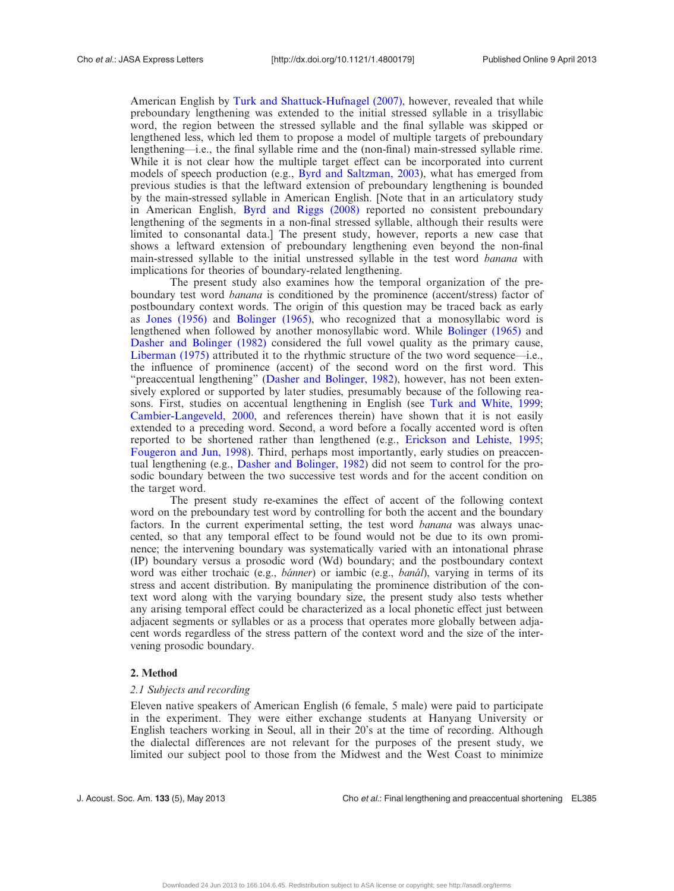American English by [Turk and Shattuck-Hufnagel \(2007\)](#page-6-0), however, revealed that while preboundary lengthening was extended to the initial stressed syllable in a trisyllabic word, the region between the stressed syllable and the final syllable was skipped or lengthened less, which led them to propose a model of multiple targets of preboundary lengthening—i.e., the final syllable rime and the (non-final) main-stressed syllable rime. While it is not clear how the multiple target effect can be incorporated into current models of speech production (e.g., [Byrd and Saltzman, 2003](#page-6-0)), what has emerged from previous studies is that the leftward extension of preboundary lengthening is bounded by the main-stressed syllable in American English. [Note that in an articulatory study in American English, [Byrd and Riggs \(2008\)](#page-6-0) reported no consistent preboundary lengthening of the segments in a non-final stressed syllable, although their results were limited to consonantal data.] The present study, however, reports a new case that shows a leftward extension of preboundary lengthening even beyond the non-final main-stressed syllable to the initial unstressed syllable in the test word banana with implications for theories of boundary-related lengthening.

The present study also examines how the temporal organization of the preboundary test word banana is conditioned by the prominence (accent/stress) factor of postboundary context words. The origin of this question may be traced back as early as [Jones \(1956\)](#page-6-0) and [Bolinger \(1965\),](#page-6-0) who recognized that a monosyllabic word is lengthened when followed by another monosyllabic word. While [Bolinger \(1965\)](#page-6-0) and [Dasher and Bolinger \(1982\)](#page-6-0) considered the full vowel quality as the primary cause, [Liberman \(1975\)](#page-6-0) attributed it to the rhythmic structure of the two word sequence—i.e., the influence of prominence (accent) of the second word on the first word. This "preaccentual lengthening" ([Dasher and Bolinger, 1982\)](#page-6-0), however, has not been extensively explored or supported by later studies, presumably because of the following reasons. First, studies on accentual lengthening in English (see [Turk and White, 1999;](#page-6-0) [Cambier-Langeveld, 2000,](#page-6-0) and references therein) have shown that it is not easily extended to a preceding word. Second, a word before a focally accented word is often reported to be shortened rather than lengthened (e.g., [Erickson and Lehiste, 1995;](#page-6-0) [Fougeron and Jun, 1998\)](#page-6-0). Third, perhaps most importantly, early studies on preaccentual lengthening (e.g., [Dasher and Bolinger, 1982](#page-6-0)) did not seem to control for the prosodic boundary between the two successive test words and for the accent condition on the target word.

The present study re-examines the effect of accent of the following context word on the preboundary test word by controlling for both the accent and the boundary factors. In the current experimental setting, the test word *banana* was always unaccented, so that any temporal effect to be found would not be due to its own prominence; the intervening boundary was systematically varied with an intonational phrase (IP) boundary versus a prosodic word (Wd) boundary; and the postboundary context word was either trochaic (e.g., *bánner*) or iambic (e.g., *banál*), varying in terms of its stress and accent distribution. By manipulating the prominence distribution of the context word along with the varying boundary size, the present study also tests whether any arising temporal effect could be characterized as a local phonetic effect just between adjacent segments or syllables or as a process that operates more globally between adjacent words regardless of the stress pattern of the context word and the size of the intervening prosodic boundary.

# 2. Method

# 2.1 Subjects and recording

Eleven native speakers of American English (6 female, 5 male) were paid to participate in the experiment. They were either exchange students at Hanyang University or English teachers working in Seoul, all in their 20's at the time of recording. Although the dialectal differences are not relevant for the purposes of the present study, we limited our subject pool to those from the Midwest and the West Coast to minimize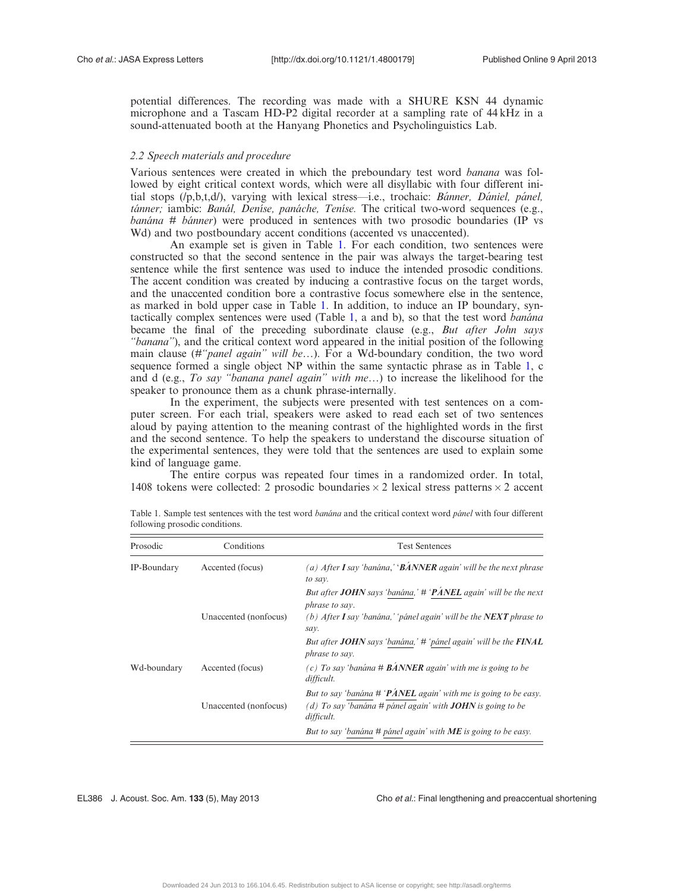potential differences. The recording was made with a SHURE KSN 44 dynamic microphone and a Tascam HD-P2 digital recorder at a sampling rate of 44 kHz in a sound-attenuated booth at the Hanyang Phonetics and Psycholinguistics Lab.

## 2.2 Speech materials and procedure

Various sentences were created in which the preboundary test word banana was followed by eight critical context words, which were all disyllabic with four different initial stops (/p,b,t,d/), varying with lexical stress—i.e., trochaic: Bánner, Dániel, pánel, tánner; iambic: Banál, Deníse, panáche, Teníse. The critical two-word sequences (e.g., banána # bánner) were produced in sentences with two prosodic boundaries (IP vs Wd) and two postboundary accent conditions (accented vs unaccented).

An example set is given in Table 1. For each condition, two sentences were constructed so that the second sentence in the pair was always the target-bearing test sentence while the first sentence was used to induce the intended prosodic conditions. The accent condition was created by inducing a contrastive focus on the target words, and the unaccented condition bore a contrastive focus somewhere else in the sentence, as marked in bold upper case in Table 1. In addition, to induce an IP boundary, syntactically complex sentences were used (Table 1, a and b), so that the test word *banána* became the final of the preceding subordinate clause (e.g., But after John says "banana"), and the critical context word appeared in the initial position of the following main clause (#"panel again" will be...). For a Wd-boundary condition, the two word sequence formed a single object NP within the same syntactic phrase as in Table 1, c and d (e.g., To say "banana panel again" with me...) to increase the likelihood for the speaker to pronounce them as a chunk phrase-internally.

In the experiment, the subjects were presented with test sentences on a computer screen. For each trial, speakers were asked to read each set of two sentences aloud by paying attention to the meaning contrast of the highlighted words in the first and the second sentence. To help the speakers to understand the discourse situation of the experimental sentences, they were told that the sentences are used to explain some kind of language game.

The entire corpus was repeated four times in a randomized order. In total, 1408 tokens were collected: 2 prosodic boundaries  $\times$  2 lexical stress patterns  $\times$  2 accent

| Prosodic    | Conditions            | <b>Test Sentences</b>                                                                                                                                 |  |  |
|-------------|-----------------------|-------------------------------------------------------------------------------------------------------------------------------------------------------|--|--|
| IP-Boundary | Accented (focus)      | (a) After I say 'banána,' 'BANNER again' will be the next phrase<br>to say.                                                                           |  |  |
|             |                       | But after JOHN says 'banána,' # 'PÁNEL again' will be the next<br><i>phrase to say.</i>                                                               |  |  |
|             | Unaccented (nonfocus) | (b) After I say 'banána,' 'pánel again' will be the NEXT phrase to<br>say.                                                                            |  |  |
|             |                       | But after <b>JOHN</b> says 'banána,' # 'pánel again' will be the <b>FINAL</b><br><i>phrase to say.</i>                                                |  |  |
| Wd-boundary | Accented (focus)      | (c) To say 'banána # $BANNER$ again' with me is going to be<br>difficult.                                                                             |  |  |
|             | Unaccented (nonfocus) | But to say 'banána # ' $PANEL$ again' with me is going to be easy.<br>(d) To say 'banána # pánel again' with <b>JOHN</b> is going to be<br>difficult. |  |  |
|             |                       | But to say 'banána # pánel again' with $ME$ is going to be easy.                                                                                      |  |  |

Table 1. Sample test sentences with the test word banána and the critical context word pánel with four different following prosodic conditions.

EL386 J. Acoust. Soc. Am. 133 (5), May 2013 Cho et al.: Final lengthening and preaccentual shortening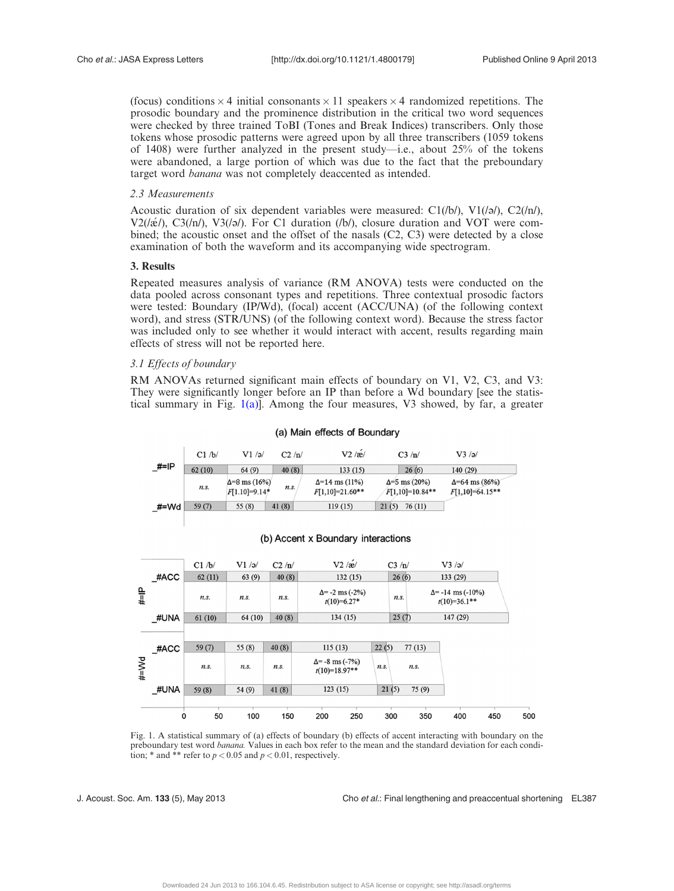<span id="page-3-0"></span>(focus) conditions  $\times$  4 initial consonants  $\times$  11 speakers  $\times$  4 randomized repetitions. The prosodic boundary and the prominence distribution in the critical two word sequences were checked by three trained ToBI (Tones and Break Indices) transcribers. Only those tokens whose prosodic patterns were agreed upon by all three transcribers (1059 tokens of 1408) were further analyzed in the present study—i.e., about 25% of the tokens were abandoned, a large portion of which was due to the fact that the preboundary target word banana was not completely deaccented as intended.

## 2.3 Measurements

Acoustic duration of six dependent variables were measured:  $Cl(b/)$ ,  $V1/(a/)$ ,  $Cl(n/)$ , V2(/ $\alpha$ /), C3(/n/), V3(/a/). For C1 duration (/b/), closure duration and VOT were combined; the acoustic onset and the offset of the nasals (C2, C3) were detected by a close examination of both the waveform and its accompanying wide spectrogram.

#### 3. Results

Repeated measures analysis of variance (RM ANOVA) tests were conducted on the data pooled across consonant types and repetitions. Three contextual prosodic factors were tested: Boundary (IP/Wd), (focal) accent (ACC/UNA) (of the following context word), and stress (STR/UNS) (of the following context word). Because the stress factor was included only to see whether it would interact with accent, results regarding main effects of stress will not be reported here.

# 3.1 Effects of boundary

RM ANOVAs returned significant main effects of boundary on V1, V2, C3, and V3: They were significantly longer before an IP than before a Wd boundary [see the statistical summary in Fig. 1(a)]. Among the four measures, V3 showed, by far, a greater

(a) Main effects of Boundary

|       | C1/b/    | V1/a/                                    | C2/n/ | $V2 / a\hat{e}$                             | C3/n/                                        | V3/a/                                         |
|-------|----------|------------------------------------------|-------|---------------------------------------------|----------------------------------------------|-----------------------------------------------|
| _#=IP | 62(10)   | 64(9)                                    | 40(8) | 133(15)                                     | 26(6)                                        | 140 (29)                                      |
|       | n.s.     | $\Delta = 8$ ms (16%)<br>$F[1.10]=9.14*$ | n.s.  | $\Delta = 14$ ms (11%)<br>$F[1,10]=21.60**$ | $\Delta = 5$ ms (20%)<br>$F[1,10] = 10.84**$ | $\Delta = 64$ ms (86%)<br>$F[1,10] = 64.15**$ |
| #=Wd  | 59 $(7)$ | 55(8)                                    | 41(8) | 119(15)                                     | 76(11)<br>21(5)                              |                                               |

#### (b) Accent x Boundary interactions

|      |      | C1/b/  | V1 / 9/ | C2/n/ | $V2 / \hat{\mathbf{z}}$ /                   | C3/n/           | V3/a/                                      |     |
|------|------|--------|---------|-------|---------------------------------------------|-----------------|--------------------------------------------|-----|
|      | #ACC | 62(11) | 63(9)   | 40(8) | 132(15)                                     | 26(6)           | 133 (29)                                   |     |
| #=P  |      | n.s.   | n.s.    | n.s.  | $\Delta = -2$ ms $(-2%)$<br>$t(10)=6.27*$   | n.s.            | $\Delta$ = -14 ms (-10%)<br>$t(10)=36.1**$ |     |
|      | #UNA | 61(10) | 64 (10) | 40(8) | 134(15)                                     | 25(7)           | 147(29)                                    |     |
|      |      |        |         |       |                                             |                 |                                            |     |
|      | #ACC | 59(7)  | 55(8)   | 40(8) | 115(13)                                     | 22(5)<br>77(13) |                                            |     |
| #=Wd |      | n.s.   | n.s.    | n.s.  | $\Delta = -8$ ms $(-7%)$<br>$t(10)=18.97**$ | n.s.<br>n.s.    |                                            |     |
|      | #UNA | 59(8)  | 54(9)   | 41(8) | 123(15)                                     | 21(5)           | 75(9)                                      |     |
|      | 0    | 50     | 100     | 150   | 200<br>250                                  | 300             | 350<br>400                                 | 450 |

Fig. 1. A statistical summary of (a) effects of boundary (b) effects of accent interacting with boundary on the preboundary test word banana. Values in each box refer to the mean and the standard deviation for each condition;  $*$  and  $**$  refer to  $p < 0.05$  and  $p < 0.01$ , respectively.

J. Acoust. Soc. Am. 133 (5), May 2013 Cho et al.: Final lengthening and preaccentual shortening EL387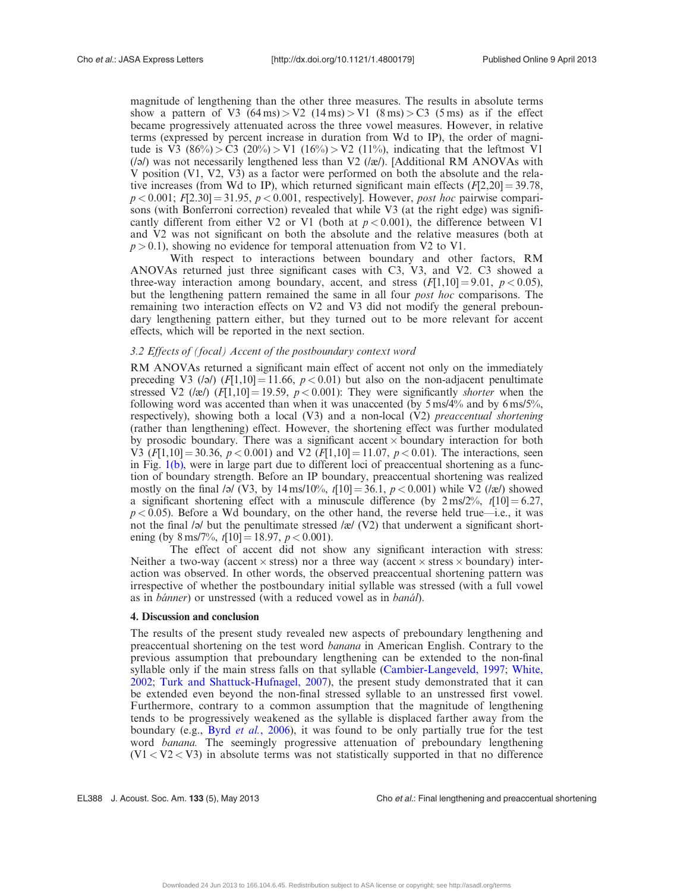magnitude of lengthening than the other three measures. The results in absolute terms show a pattern of V3  $(64 \text{ ms}) > V2$   $(14 \text{ ms}) > V1$   $(8 \text{ ms}) > C3$   $(5 \text{ ms})$  as if the effect became progressively attenuated across the three vowel measures. However, in relative terms (expressed by percent increase in duration from Wd to IP), the order of magnitude is V3 (86%) > C3 (20%) > V1 (16%) > V2 (11%), indicating that the leftmost V1  $(19)$  was not necessarily lengthened less than V2  $(10)$ . [Additional RM ANOVAs with V position (V1, V2, V3) as a factor were performed on both the absolute and the relative increases (from Wd to IP), which returned significant main effects  $(F[2,20] = 39.78$ ,  $p < 0.001$ ;  $F[2.30] = 31.95$ ,  $p < 0.001$ , respectively]. However, *post hoc* pairwise comparisons (with Bonferroni correction) revealed that while V3 (at the right edge) was significantly different from either V2 or V1 (both at  $p < 0.001$ ), the difference between V1 and V2 was not significant on both the absolute and the relative measures (both at  $p > 0.1$ ), showing no evidence for temporal attenuation from V2 to V1.

With respect to interactions between boundary and other factors, RM ANOVAs returned just three significant cases with C3, V3, and V2. C3 showed a three-way interaction among boundary, accent, and stress  $(F[1,10] = 9.01, p < 0.05)$ , but the lengthening pattern remained the same in all four *post hoc* comparisons. The remaining two interaction effects on V2 and V3 did not modify the general preboundary lengthening pattern either, but they turned out to be more relevant for accent effects, which will be reported in the next section.

# 3.2 Effects of (focal) Accent of the postboundary context word

RM ANOVAs returned a significant main effect of accent not only on the immediately preceding V3 (/a/) ( $F[1,10] = 11.66$ ,  $p < 0.01$ ) but also on the non-adjacent penultimate stressed V2 (/æ/) ( $F[1,10] = 19.59$ ,  $p < 0.001$ ): They were significantly *shorter* when the following word was accented than when it was unaccented (by 5 ms/4% and by 6 ms/5%, respectively), showing both a local (V3) and a non-local (V2) preaccentual shortening (rather than lengthening) effect. However, the shortening effect was further modulated by prosodic boundary. There was a significant accent  $\times$  boundary interaction for both V3 (F[1,10] = 30.36,  $p < 0.001$ ) and V2 (F[1,10] = 11.07,  $p < 0.01$ ). The interactions, seen in Fig.  $1(b)$ , were in large part due to different loci of preaccentual shortening as a function of boundary strength. Before an IP boundary, preaccentual shortening was realized mostly on the final /ə/ (V3, by 14 ms/10%,  $t[10] = 36.1$ ,  $p < 0.001$ ) while V2 (/æ/) showed a significant shortening effect with a minuscule difference (by  $2 \text{ ms}/2\%$ ,  $t[10] = 6.27$ ,  $p < 0.05$ ). Before a Wd boundary, on the other hand, the reverse held true—i.e., it was not the final /ə/ but the penultimate stressed /æ/  $(V2)$  that underwent a significant shortening (by  $8 \text{ ms}/7\%$ ,  $t[10] = 18.97$ ,  $p < 0.001$ ).

The effect of accent did not show any significant interaction with stress: Neither a two-way (accent  $\times$  stress) nor a three way (accent  $\times$  stress  $\times$  boundary) interaction was observed. In other words, the observed preaccentual shortening pattern was irrespective of whether the postboundary initial syllable was stressed (with a full vowel as in *bánner*) or unstressed (with a reduced vowel as in *banál*).

#### 4. Discussion and conclusion

The results of the present study revealed new aspects of preboundary lengthening and preaccentual shortening on the test word banana in American English. Contrary to the previous assumption that preboundary lengthening can be extended to the non-final syllable only if the main stress falls on that syllable [\(Cambier-Langeveld, 1997;](#page-6-0) [White,](#page-6-0) [2002;](#page-6-0) [Turk and Shattuck-Hufnagel, 2007\)](#page-6-0), the present study demonstrated that it can be extended even beyond the non-final stressed syllable to an unstressed first vowel. Furthermore, contrary to a common assumption that the magnitude of lengthening tends to be progressively weakened as the syllable is displaced farther away from the boundary (e.g., Byrd et al.[, 2006\)](#page-6-0), it was found to be only partially true for the test word banana. The seemingly progressive attenuation of preboundary lengthening  $(V1 < V2 < V3)$  in absolute terms was not statistically supported in that no difference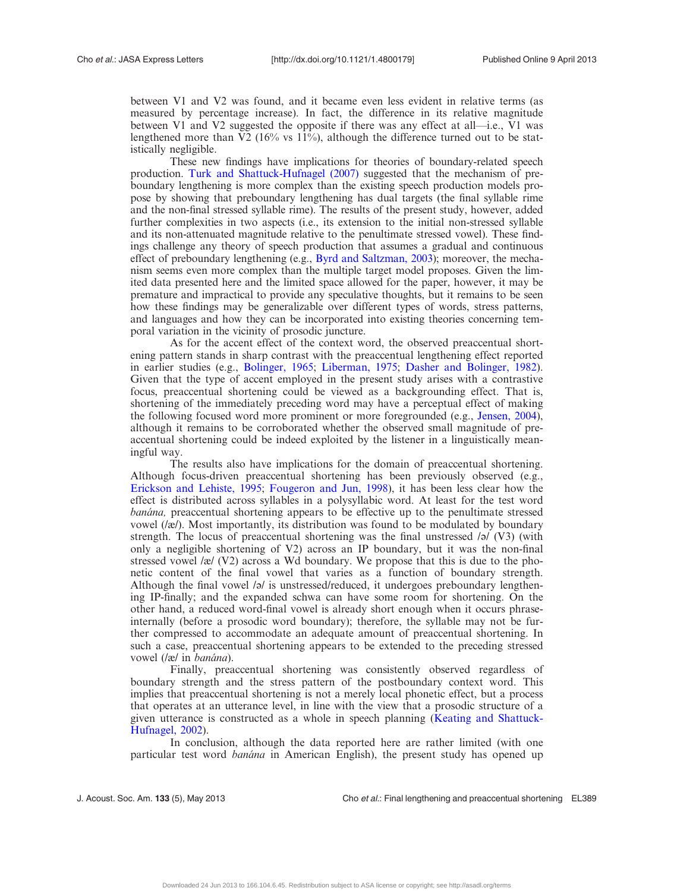between V1 and V2 was found, and it became even less evident in relative terms (as measured by percentage increase). In fact, the difference in its relative magnitude between V1 and V2 suggested the opposite if there was any effect at all—i.e., V1 was lengthened more than  $\overline{V2}$  (16% vs 11%), although the difference turned out to be statistically negligible.

These new findings have implications for theories of boundary-related speech production. [Turk and Shattuck-Hufnagel \(2007\)](#page-6-0) suggested that the mechanism of preboundary lengthening is more complex than the existing speech production models propose by showing that preboundary lengthening has dual targets (the final syllable rime and the non-final stressed syllable rime). The results of the present study, however, added further complexities in two aspects (i.e., its extension to the initial non-stressed syllable and its non-attenuated magnitude relative to the penultimate stressed vowel). These findings challenge any theory of speech production that assumes a gradual and continuous effect of preboundary lengthening (e.g., [Byrd and Saltzman, 2003](#page-6-0)); moreover, the mechanism seems even more complex than the multiple target model proposes. Given the limited data presented here and the limited space allowed for the paper, however, it may be premature and impractical to provide any speculative thoughts, but it remains to be seen how these findings may be generalizable over different types of words, stress patterns, and languages and how they can be incorporated into existing theories concerning temporal variation in the vicinity of prosodic juncture.

As for the accent effect of the context word, the observed preaccentual shortening pattern stands in sharp contrast with the preaccentual lengthening effect reported in earlier studies (e.g., [Bolinger, 1965;](#page-6-0) [Liberman, 1975](#page-6-0); [Dasher and Bolinger, 1982\)](#page-6-0). Given that the type of accent employed in the present study arises with a contrastive focus, preaccentual shortening could be viewed as a backgrounding effect. That is, shortening of the immediately preceding word may have a perceptual effect of making the following focused word more prominent or more foregrounded (e.g., [Jensen, 2004\)](#page-6-0), although it remains to be corroborated whether the observed small magnitude of preaccentual shortening could be indeed exploited by the listener in a linguistically meaningful way.

The results also have implications for the domain of preaccentual shortening. Although focus-driven preaccentual shortening has been previously observed (e.g., [Erickson and Lehiste, 1995;](#page-6-0) [Fougeron and Jun, 1998\)](#page-6-0), it has been less clear how the effect is distributed across syllables in a polysyllabic word. At least for the test word banána, preaccentual shortening appears to be effective up to the penultimate stressed vowel (/æ/). Most importantly, its distribution was found to be modulated by boundary strength. The locus of preaccentual shortening was the final unstressed  $\sqrt{a}$  (V3) (with only a negligible shortening of V2) across an IP boundary, but it was the non-final stressed vowel /æ/ (V2) across a Wd boundary. We propose that this is due to the phonetic content of the final vowel that varies as a function of boundary strength. Although the final vowel  $\frac{1}{9}$  is unstressed/reduced, it undergoes preboundary lengthening IP-finally; and the expanded schwa can have some room for shortening. On the other hand, a reduced word-final vowel is already short enough when it occurs phraseinternally (before a prosodic word boundary); therefore, the syllable may not be further compressed to accommodate an adequate amount of preaccentual shortening. In such a case, preaccentual shortening appears to be extended to the preceding stressed vowel (/æ/ in banána).

Finally, preaccentual shortening was consistently observed regardless of boundary strength and the stress pattern of the postboundary context word. This implies that preaccentual shortening is not a merely local phonetic effect, but a process that operates at an utterance level, in line with the view that a prosodic structure of a given utterance is constructed as a whole in speech planning [\(Keating and Shattuck-](#page-6-0)[Hufnagel, 2002\)](#page-6-0).

In conclusion, although the data reported here are rather limited (with one particular test word *banána* in American English), the present study has opened up